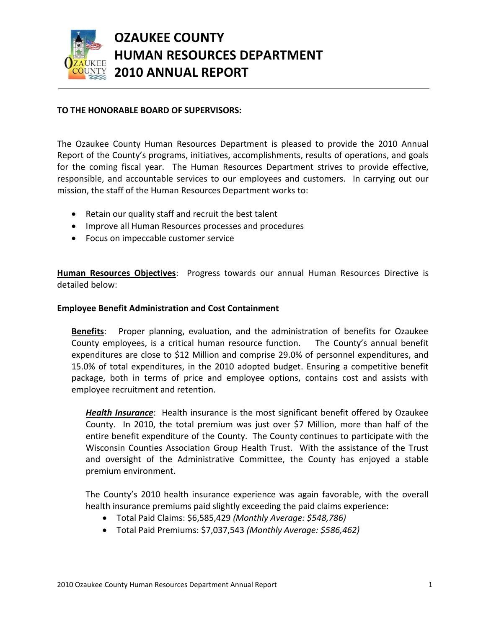

# **OZAUKEE COUNTY HUMAN RESOURCES DEPARTMENT 2010 ANNUAL REPORT**

# **TO THE HONORABLE BOARD OF SUPERVISORS:**

The Ozaukee County Human Resources Department is pleased to provide the 2010 Annual Report of the County's programs, initiatives, accomplishments, results of operations, and goals for the coming fiscal year. The Human Resources Department strives to provide effective, responsible, and accountable services to our employees and customers. In carrying out our mission, the staff of the Human Resources Department works to:

- Retain our quality staff and recruit the best talent
- **•** Improve all Human Resources processes and procedures
- Focus on impeccable customer service

**Human Resources Objectives**: Progress towards our annual Human Resources Directive is detailed below:

# **Employee Benefit Administration and Cost Containment**

**Benefits**: Proper planning, evaluation, and the administration of benefits for Ozaukee County employees, is a critical human resource function. The County's annual benefit expenditures are close to \$12 Million and comprise 29.0% of personnel expenditures, and 15.0% of total expenditures, in the 2010 adopted budget. Ensuring a competitive benefit package, both in terms of price and employee options, contains cost and assists with employee recruitment and retention.

*Health Insurance*: Health insurance is the most significant benefit offered by Ozaukee County. In 2010, the total premium was just over \$7 Million, more than half of the entire benefit expenditure of the County. The County continues to participate with the Wisconsin Counties Association Group Health Trust. With the assistance of the Trust and oversight of the Administrative Committee, the County has enjoyed a stable premium environment.

The County's 2010 health insurance experience was again favorable, with the overall health insurance premiums paid slightly exceeding the paid claims experience:

- Total Paid Claims: \$6,585,429 *(Monthly Average: \$548,786)*
- Total Paid Premiums: \$7,037,543 *(Monthly Average: \$586,462)*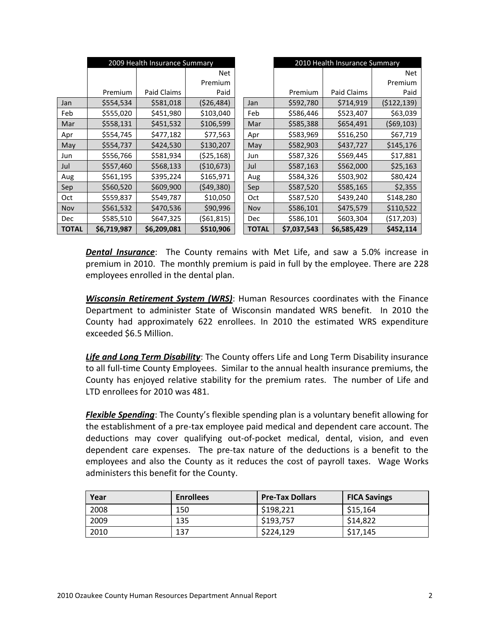|              | 2009 Health Insurance Summary |             |              |              | 2010 Health Insurance Summary |             |             |
|--------------|-------------------------------|-------------|--------------|--------------|-------------------------------|-------------|-------------|
|              |                               |             | Net          |              |                               |             | Net         |
|              |                               |             | Premium      |              |                               |             | Premium     |
|              | Premium                       | Paid Claims | Paid         |              | Premium                       | Paid Claims | Paid        |
| Jan          | \$554,534                     | \$581,018   | (526, 484)   | Jan          | \$592,780                     | \$714,919   | (5122, 139) |
| Feb          | \$555,020                     | \$451,980   | \$103,040    | Feb          | \$586,446                     | \$523,407   | \$63,039    |
| Mar          | \$558,131                     | \$451,532   | \$106,599    | Mar          | \$585,388                     | \$654,491   | (569, 103)  |
| Apr          | \$554,745                     | \$477,182   | \$77,563     | Apr          | \$583,969                     | \$516,250   | \$67,719    |
| May          | \$554,737                     | \$424,530   | \$130,207    | May          | \$582,903                     | \$437,727   | \$145,176   |
| Jun          | \$556,766                     | \$581,934   | (525, 168)   | Jun          | \$587,326                     | \$569,445   | \$17,881    |
| Jul          | \$557,460                     | \$568,133   | (\$10,673)   | Jul          | \$587,163                     | \$562,000   | \$25,163    |
| Aug          | \$561,195                     | \$395,224   | \$165,971    | Aug          | \$584,326                     | \$503,902   | \$80,424    |
| Sep          | \$560,520                     | \$609,900   | (549,380)    | Sep          | \$587,520                     | \$585,165   | \$2,355     |
| Oct          | \$559,837                     | \$549,787   | \$10,050     | Oct          | \$587,520                     | \$439,240   | \$148,280   |
| Nov          | \$561,532                     | \$470,536   | \$90,996     | Nov          | \$586,101                     | \$475,579   | \$110,522   |
| <b>Dec</b>   | \$585,510                     | \$647,325   | ( \$61, 815) | Dec          | \$586,101                     | \$603,304   | (517, 203)  |
| <b>TOTAL</b> | \$6,719,987                   | \$6,209,081 | \$510,906    | <b>TOTAL</b> | \$7,037,543                   | \$6,585,429 | \$452,114   |

*Dental Insurance*: The County remains with Met Life, and saw a 5.0% increase in premium in 2010. The monthly premium is paid in full by the employee. There are 228 employees enrolled in the dental plan.

*Wisconsin Retirement System (WRS)*: Human Resources coordinates with the Finance Department to administer State of Wisconsin mandated WRS benefit. In 2010 the County had approximately 622 enrollees. In 2010 the estimated WRS expenditure exceeded \$6.5 Million.

*Life and Long Term Disability*: The County offers Life and Long Term Disability insurance to all full-time County Employees. Similar to the annual health insurance premiums, the County has enjoyed relative stability for the premium rates. The number of Life and LTD enrollees for 2010 was 481.

*Flexible Spending*: The County's flexible spending plan is a voluntary benefit allowing for the establishment of a pre-tax employee paid medical and dependent care account. The deductions may cover qualifying out-of-pocket medical, dental, vision, and even dependent care expenses. The pre-tax nature of the deductions is a benefit to the employees and also the County as it reduces the cost of payroll taxes. Wage Works administers this benefit for the County.

| Year | <b>Enrollees</b> | <b>Pre-Tax Dollars</b> | <b>FICA Savings</b> |
|------|------------------|------------------------|---------------------|
| 2008 | 150              | \$198,221              | \$15,164            |
| 2009 | 135              | \$193,757              | \$14,822            |
| 2010 | 137              | \$224,129              | \$17,145            |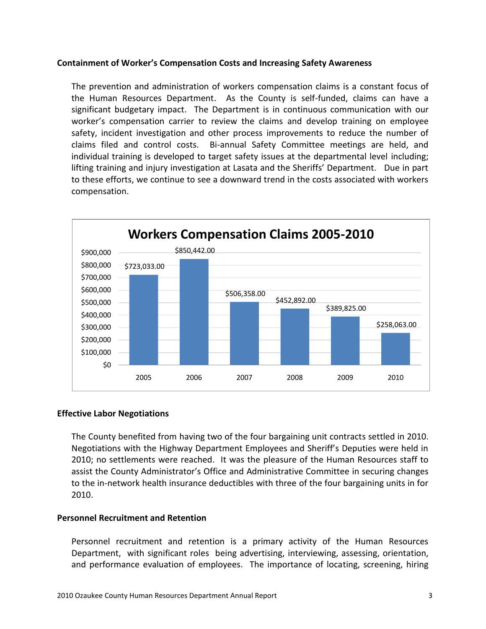# **Containment of Worker's Compensation Costs and Increasing Safety Awareness**

The prevention and administration of workers compensation claims is a constant focus of the Human Resources Department. As the County is self-funded, claims can have a significant budgetary impact. The Department is in continuous communication with our worker's compensation carrier to review the claims and develop training on employee safety, incident investigation and other process improvements to reduce the number of claims filed and control costs. Bi-annual Safety Committee meetings are held, and individual training is developed to target safety issues at the departmental level including; lifting training and injury investigation at Lasata and the Sheriffs' Department. Due in part to these efforts, we continue to see a downward trend in the costs associated with workers compensation.



# **Effective Labor Negotiations**

The County benefited from having two of the four bargaining unit contracts settled in 2010. Negotiations with the Highway Department Employees and Sheriff's Deputies were held in 2010; no settlements were reached. It was the pleasure of the Human Resources staff to assist the County Administrator's Office and Administrative Committee in securing changes to the in-network health insurance deductibles with three of the four bargaining units in for 2010.

# **Personnel Recruitment and Retention**

Personnel recruitment and retention is a primary activity of the Human Resources Department, with significant roles being advertising, interviewing, assessing, orientation, and performance evaluation of employees. The importance of locating, screening, hiring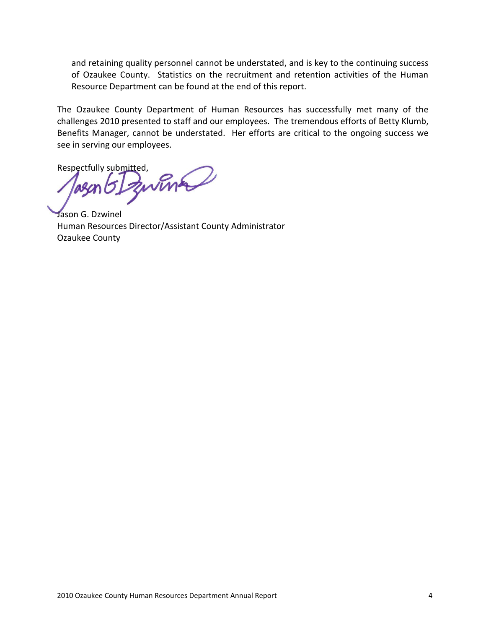and retaining quality personnel cannot be understated, and is key to the continuing success of Ozaukee County. Statistics on the recruitment and retention activities of the Human Resource Department can be found at the end of this report.

The Ozaukee County Department of Human Resources has successfully met many of the challenges 2010 presented to staff and our employees. The tremendous efforts of Betty Klumb, Benefits Manager, cannot be understated. Her efforts are critical to the ongoing success we see in serving our employees.

Respectfully submitted,

Jason G. Dzwinel Human Resources Director/Assistant County Administrator Ozaukee County